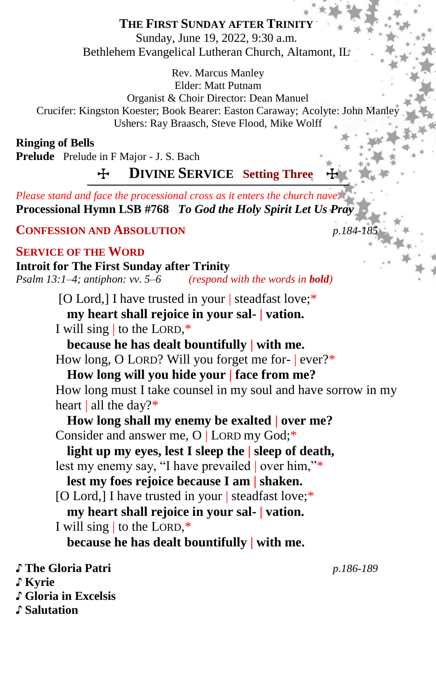# **THE FIRST SUNDAY AFTER TRINITY**

Sunday, June 19, 2022, 9:30 a.m. Bethlehem Evangelical Lutheran Church, Altamont, IL

Rev. Marcus Manley Elder: Matt Putnam Organist & Choir Director: Dean Manuel Crucifer: Kingston Koester; Book Bearer: Easton Caraway; Acolyte: John Manley Ushers: Ray Braasch, Steve Flood, Mike Wolff

**Ringing of Bells**

**Prelude** Prelude in F Major - J. S. Bach

**H** DIVINE SERVICE Setting Three

*Please stand and face the processional cross as it enters the church nave.* **Processional Hymn LSB #768** *To God the Holy Spirit Let Us Pray*

**CONFESSION AND ABSOLUTION** *p.184-185*

## **SERVICE OF THE WORD**

**Introit for The First Sunday after Trinity** *Psalm 13:1–4; antiphon: vv. 5–6 (respond with the words in bold)*

> [O Lord,] I have trusted in your | steadfast love;\* **my heart shall rejoice in your sal- | vation.**

I will sing | to the LORD,\*

**because he has dealt bountifully | with me.** How long, O LORD? Will you forget me for- | ever?\*

**How long will you hide your | face from me?** How long must I take counsel in my soul and have sorrow in my heart | all the day?\*

**How long shall my enemy be exalted | over me?** Consider and answer me, O | LORD my God;\*

**light up my eyes, lest I sleep the | sleep of death,** lest my enemy say, "I have prevailed | over him,"\*

**lest my foes rejoice because I am | shaken.** [O Lord,] I have trusted in your | steadfast love;\* **my heart shall rejoice in your sal- | vation.**

I will sing | to the LORD,\*

**because he has dealt bountifully | with me.**

♪ **The Gloria Patri** *p.186-189*

♪ **Kyrie**

♪ **Gloria in Excelsis** 

♪ **Salutation**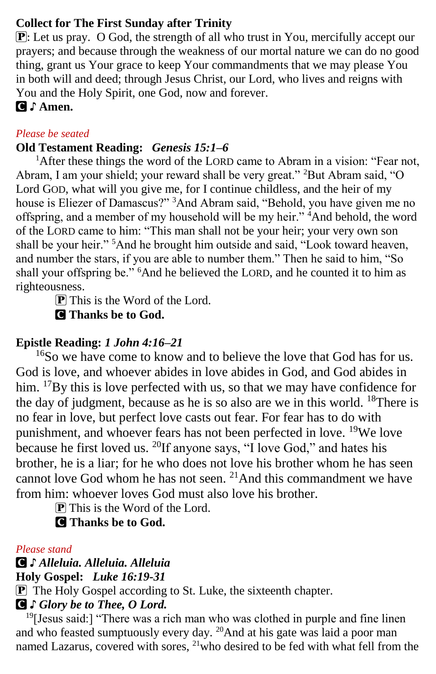# **Collect for The First Sunday after Trinity**

P: Let us pray. O God, the strength of all who trust in You, mercifully accept our prayers; and because through the weakness of our mortal nature we can do no good thing, grant us Your grace to keep Your commandments that we may please You in both will and deed; through Jesus Christ, our Lord, who lives and reigns with You and the Holy Spirit, one God, now and forever.

C ♪ **Amen.**

## *Please be seated*

# **Old Testament Reading:** *Genesis 15:1–6*

<sup>1</sup>After these things the word of the LORD came to Abram in a vision: "Fear not, Abram, I am your shield; your reward shall be very great." <sup>2</sup>But Abram said, "O Lord GOD, what will you give me, for I continue childless, and the heir of my house is Eliezer of Damascus?" <sup>3</sup>And Abram said, "Behold, you have given me no offspring, and a member of my household will be my heir." <sup>4</sup>And behold, the word of the LORD came to him: "This man shall not be your heir; your very own son shall be your heir." <sup>5</sup>And he brought him outside and said, "Look toward heaven, and number the stars, if you are able to number them." Then he said to him, "So shall your offspring be." <sup>6</sup>And he believed the LORD, and he counted it to him as righteousness.

 $\bf{P}$  This is the Word of the Lord. C **Thanks be to God.**

# **Epistle Reading:** *1 John 4:16–21*

 $16$ So we have come to know and to believe the love that God has for us. God is love, and whoever abides in love abides in God, and God abides in him. <sup>17</sup>By this is love perfected with us, so that we may have confidence for the day of judgment, because as he is so also are we in this world.  $18$ There is no fear in love, but perfect love casts out fear. For fear has to do with punishment, and whoever fears has not been perfected in love. <sup>19</sup>We love because he first loved us.  $^{20}$ If anyone says, "I love God," and hates his brother, he is a liar; for he who does not love his brother whom he has seen cannot love God whom he has not seen.  $2<sup>1</sup>$  And this commandment we have from him: whoever loves God must also love his brother.

P This is the Word of the Lord.

C **Thanks be to God.**

# *Please stand*

C *♪ Alleluia. Alleluia. Alleluia* **Holy Gospel:** *Luke 16:19-31*

P The Holy Gospel according to St. Luke, the sixteenth chapter.

C *♪ Glory be to Thee, O Lord.*

<sup>19</sup>[Jesus said:] "There was a rich man who was clothed in purple and fine linen and who feasted sumptuously every day. <sup>20</sup>And at his gate was laid a poor man named Lazarus, covered with sores,  $^{21}$  who desired to be fed with what fell from the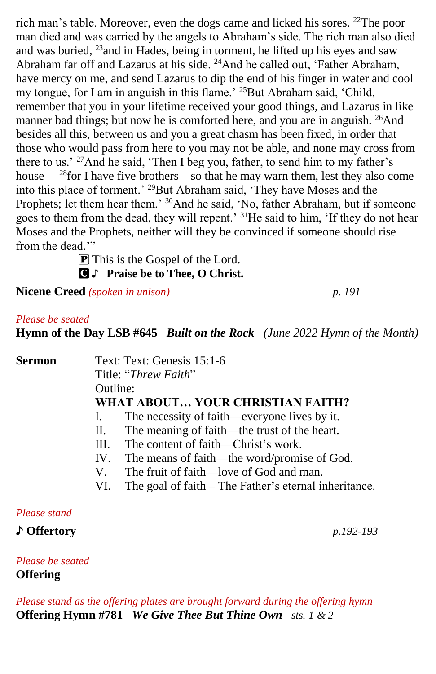rich man's table. Moreover, even the dogs came and licked his sores. <sup>22</sup>The poor man died and was carried by the angels to Abraham's side. The rich man also died and was buried, <sup>23</sup>and in Hades, being in torment, he lifted up his eyes and saw Abraham far off and Lazarus at his side. <sup>24</sup>And he called out, 'Father Abraham, have mercy on me, and send Lazarus to dip the end of his finger in water and cool my tongue, for I am in anguish in this flame.' <sup>25</sup>But Abraham said, 'Child, remember that you in your lifetime received your good things, and Lazarus in like manner bad things; but now he is comforted here, and you are in anguish. <sup>26</sup>And besides all this, between us and you a great chasm has been fixed, in order that those who would pass from here to you may not be able, and none may cross from there to us.' <sup>27</sup>And he said, 'Then I beg you, father, to send him to my father's house— <sup>28</sup>for I have five brothers—so that he may warn them, lest they also come into this place of torment.' <sup>29</sup>But Abraham said, 'They have Moses and the Prophets; let them hear them.' <sup>30</sup>And he said, 'No, father Abraham, but if someone goes to them from the dead, they will repent.' <sup>31</sup>He said to him, 'If they do not hear Moses and the Prophets, neither will they be convinced if someone should rise from the dead."

 $\overline{P}$  This is the Gospel of the Lord.

C **♪ Praise be to Thee, O Christ.**

**Nicene Creed** *(spoken in unison) p. 191*

#### *Please be seated*

**Hymn of the Day LSB #645** *Built on the Rock**(June 2022 Hymn of the Month)*

**Sermon Text: Text: Genesis 15:1-6** Title: "*Threw Faith*" Outline: **WHAT ABOUT… YOUR CHRISTIAN FAITH?** I. The necessity of faith—everyone lives by it. II. The meaning of faith—the trust of the heart. III. The content of faith—Christ's work. IV. The means of faith—the word/promise of God. V. The fruit of faith—love of God and man. VI. The goal of faith – The Father's eternal inheritance.

*Please stand*

♪ **Offertory** *p.192-193*

*Please be seated* **Offering** 

*Please stand as the offering plates are brought forward during the offering hymn* **Offering Hymn #781** *We Give Thee But Thine Own sts. 1 & 2*